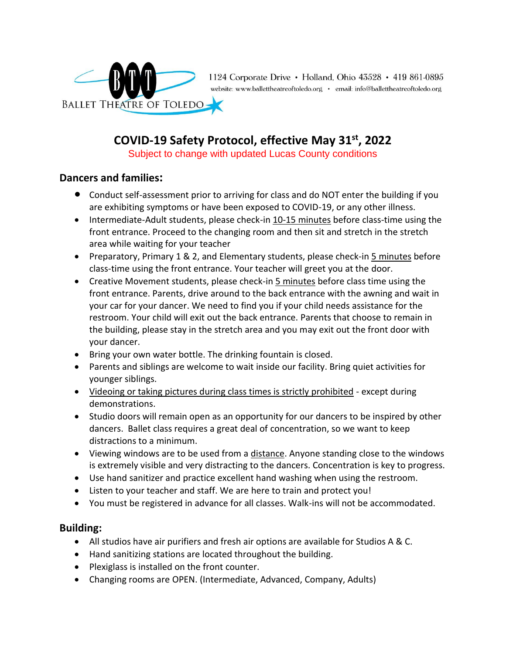

1124 Corporate Drive • Holland, Ohio 43528 • 419 861-0895 website: www.ballettheatreoftoledo.org · email: info@ballettheatreoftoledo.org

# **COVID-19 Safety Protocol, effective May 31st , 2022**

Subject to change with updated Lucas County conditions

## **Dancers and families:**

- Conduct self-assessment prior to arriving for class and do NOT enter the building if you are exhibiting symptoms or have been exposed to COVID-19, or any other illness.
- Intermediate-Adult students, please check-in 10-15 minutes before class-time using the front entrance. Proceed to the changing room and then sit and stretch in the stretch area while waiting for your teacher
- Preparatory, Primary 1 & 2, and Elementary students, please check-in 5 minutes before class-time using the front entrance. Your teacher will greet you at the door.
- Creative Movement students, please check-in 5 minutes before class time using the front entrance. Parents, drive around to the back entrance with the awning and wait in your car for your dancer. We need to find you if your child needs assistance for the restroom. Your child will exit out the back entrance. Parents that choose to remain in the building, please stay in the stretch area and you may exit out the front door with your dancer.
- Bring your own water bottle. The drinking fountain is closed.
- Parents and siblings are welcome to wait inside our facility. Bring quiet activities for younger siblings.
- Videoing or taking pictures during class times is strictly prohibited except during demonstrations.
- Studio doors will remain open as an opportunity for our dancers to be inspired by other dancers. Ballet class requires a great deal of concentration, so we want to keep distractions to a minimum.
- Viewing windows are to be used from a distance. Anyone standing close to the windows is extremely visible and very distracting to the dancers. Concentration is key to progress.
- Use hand sanitizer and practice excellent hand washing when using the restroom.
- Listen to your teacher and staff. We are here to train and protect you!
- You must be registered in advance for all classes. Walk-ins will not be accommodated.

## **Building:**

- All studios have air purifiers and fresh air options are available for Studios A & C.
- Hand sanitizing stations are located throughout the building.
- Plexiglass is installed on the front counter.
- Changing rooms are OPEN. (Intermediate, Advanced, Company, Adults)